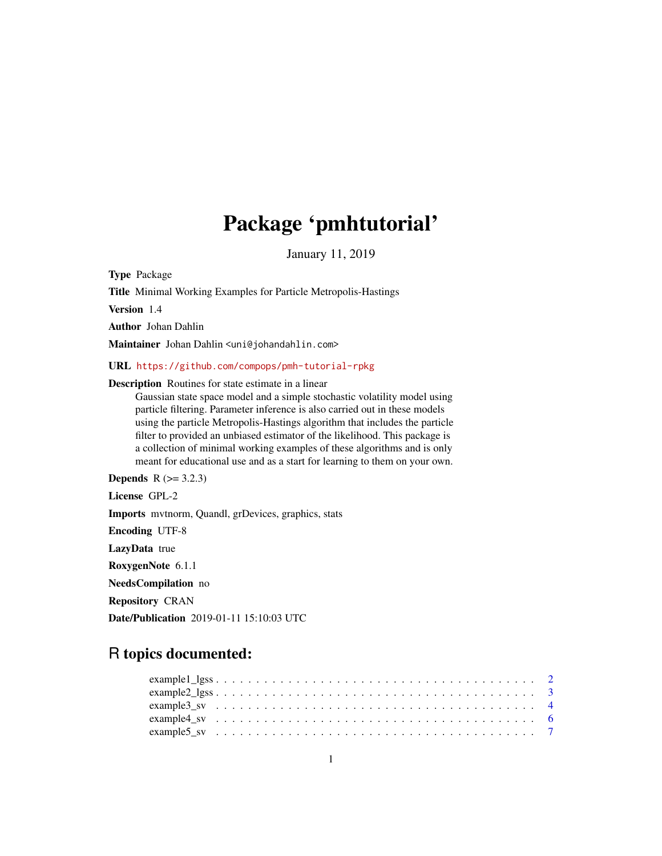# Package 'pmhtutorial'

January 11, 2019

Type Package

Title Minimal Working Examples for Particle Metropolis-Hastings

Version 1.4

Author Johan Dahlin

Maintainer Johan Dahlin <uni@johandahlin.com>

URL <https://github.com/compops/pmh-tutorial-rpkg>

Description Routines for state estimate in a linear

Gaussian state space model and a simple stochastic volatility model using particle filtering. Parameter inference is also carried out in these models using the particle Metropolis-Hastings algorithm that includes the particle filter to provided an unbiased estimator of the likelihood. This package is a collection of minimal working examples of these algorithms and is only meant for educational use and as a start for learning to them on your own.

**Depends**  $R$  ( $> = 3.2.3$ ) License GPL-2 Imports mvtnorm, Quandl, grDevices, graphics, stats Encoding UTF-8 LazyData true RoxygenNote 6.1.1 NeedsCompilation no Repository CRAN Date/Publication 2019-01-11 15:10:03 UTC

# R topics documented: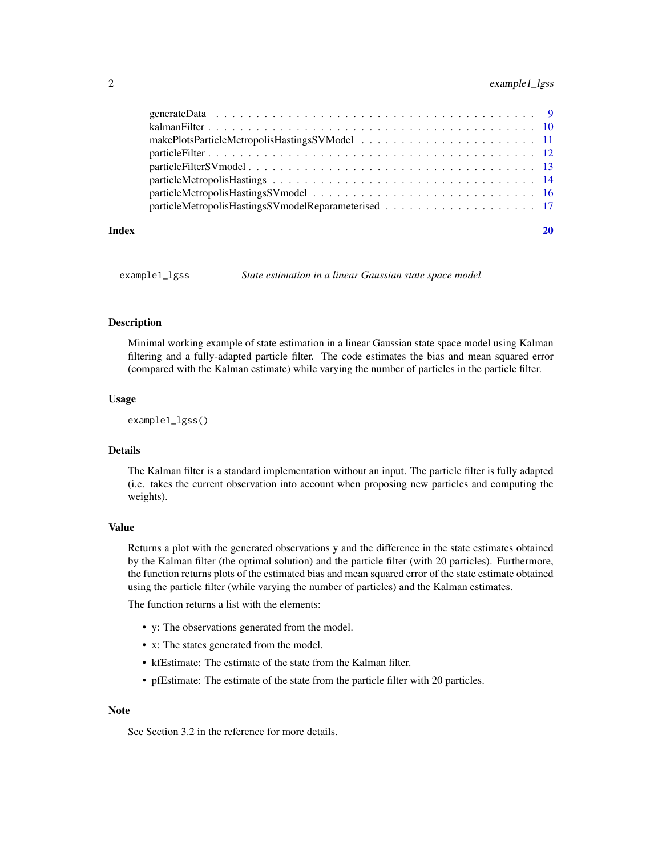# <span id="page-1-0"></span>2 example1\_lgss

| Index |  |
|-------|--|
|       |  |
|       |  |
|       |  |
|       |  |
|       |  |
|       |  |
|       |  |
|       |  |

example1\_lgss *State estimation in a linear Gaussian state space model*

#### **Description**

Minimal working example of state estimation in a linear Gaussian state space model using Kalman filtering and a fully-adapted particle filter. The code estimates the bias and mean squared error (compared with the Kalman estimate) while varying the number of particles in the particle filter.

#### Usage

example1\_lgss()

# Details

The Kalman filter is a standard implementation without an input. The particle filter is fully adapted (i.e. takes the current observation into account when proposing new particles and computing the weights).

#### Value

Returns a plot with the generated observations y and the difference in the state estimates obtained by the Kalman filter (the optimal solution) and the particle filter (with 20 particles). Furthermore, the function returns plots of the estimated bias and mean squared error of the state estimate obtained using the particle filter (while varying the number of particles) and the Kalman estimates.

The function returns a list with the elements:

- y: The observations generated from the model.
- x: The states generated from the model.
- kfEstimate: The estimate of the state from the Kalman filter.
- pfEstimate: The estimate of the state from the particle filter with 20 particles.

#### **Note**

See Section 3.2 in the reference for more details.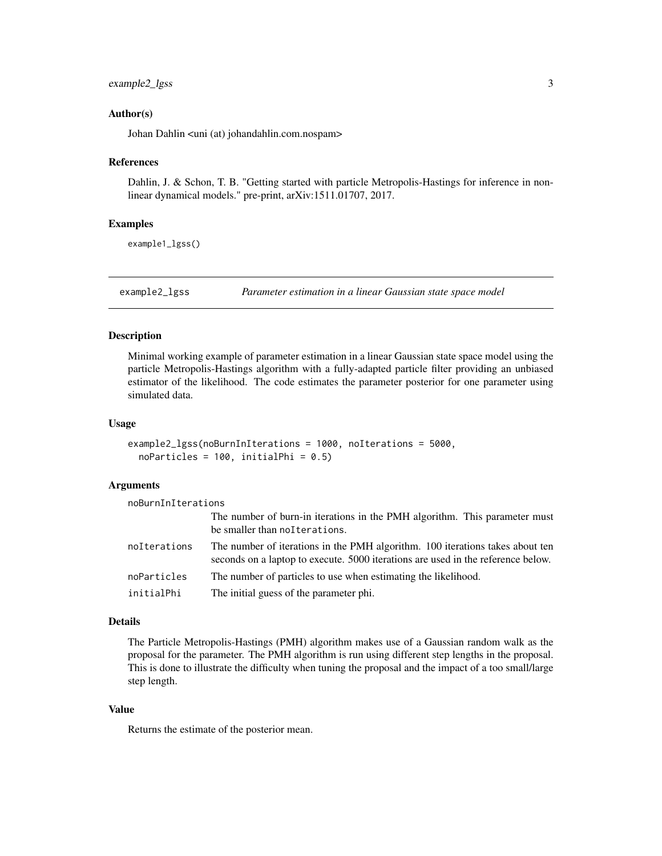# <span id="page-2-0"></span>example2\_lgss 3

# Author(s)

Johan Dahlin <uni (at) johandahlin.com.nospam>

#### References

Dahlin, J. & Schon, T. B. "Getting started with particle Metropolis-Hastings for inference in nonlinear dynamical models." pre-print, arXiv:1511.01707, 2017.

# Examples

example1\_lgss()

example2\_lgss *Parameter estimation in a linear Gaussian state space model*

# Description

Minimal working example of parameter estimation in a linear Gaussian state space model using the particle Metropolis-Hastings algorithm with a fully-adapted particle filter providing an unbiased estimator of the likelihood. The code estimates the parameter posterior for one parameter using simulated data.

#### Usage

```
example2_lgss(noBurnInIterations = 1000, noIterations = 5000,
 noParticles = 100, initialPhi = 0.5)
```
# Arguments

| noBurnInIterations |                                                                                                                                                                   |
|--------------------|-------------------------------------------------------------------------------------------------------------------------------------------------------------------|
|                    | The number of burn-in iterations in the PMH algorithm. This parameter must<br>be smaller than noIterations.                                                       |
| noIterations       | The number of iterations in the PMH algorithm. 100 iterations takes about ten<br>seconds on a laptop to execute. 5000 iterations are used in the reference below. |
| noParticles        | The number of particles to use when estimating the likelihood.                                                                                                    |
| initialPhi         | The initial guess of the parameter phi.                                                                                                                           |

#### Details

The Particle Metropolis-Hastings (PMH) algorithm makes use of a Gaussian random walk as the proposal for the parameter. The PMH algorithm is run using different step lengths in the proposal. This is done to illustrate the difficulty when tuning the proposal and the impact of a too small/large step length.

# Value

Returns the estimate of the posterior mean.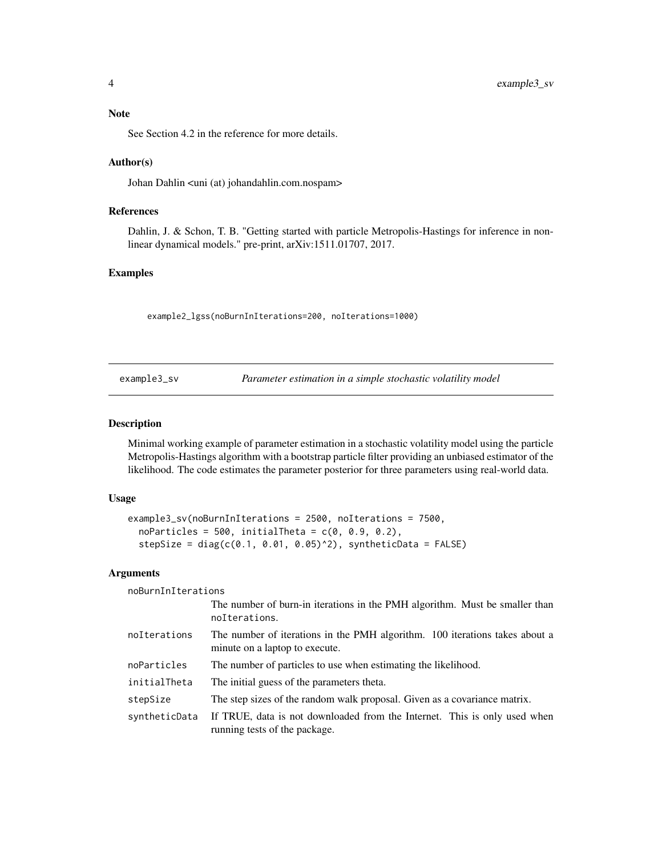# <span id="page-3-0"></span>Note

See Section 4.2 in the reference for more details.

# Author(s)

Johan Dahlin <uni (at) johandahlin.com.nospam>

# References

Dahlin, J. & Schon, T. B. "Getting started with particle Metropolis-Hastings for inference in nonlinear dynamical models." pre-print, arXiv:1511.01707, 2017.

# Examples

example2\_lgss(noBurnInIterations=200, noIterations=1000)

<span id="page-3-1"></span>

| example3_sv | Parameter estimation in a simple stochastic volatility model |  |
|-------------|--------------------------------------------------------------|--|
|             |                                                              |  |

# Description

Minimal working example of parameter estimation in a stochastic volatility model using the particle Metropolis-Hastings algorithm with a bootstrap particle filter providing an unbiased estimator of the likelihood. The code estimates the parameter posterior for three parameters using real-world data.

# Usage

```
example3_sv(noBurnInIterations = 2500, noIterations = 7500,
 noParticles = 500, initialTheta = c(0, 0.9, 0.2),
  stepSize = diag(c(0.1, 0.01, 0.05)^2), syntheticData = FALSE)
```
#### Arguments

noBurnInIterations

|               | The number of burn-in iterations in the PMH algorithm. Must be smaller than<br>noIterations.                  |
|---------------|---------------------------------------------------------------------------------------------------------------|
| noIterations  | The number of iterations in the PMH algorithm. 100 iterations takes about a<br>minute on a laptop to execute. |
| noParticles   | The number of particles to use when estimating the likelihood.                                                |
| initialTheta  | The initial guess of the parameters theta.                                                                    |
| stepSize      | The step sizes of the random walk proposal. Given as a covariance matrix.                                     |
| syntheticData | If TRUE, data is not downloaded from the Internet. This is only used when<br>running tests of the package.    |
|               |                                                                                                               |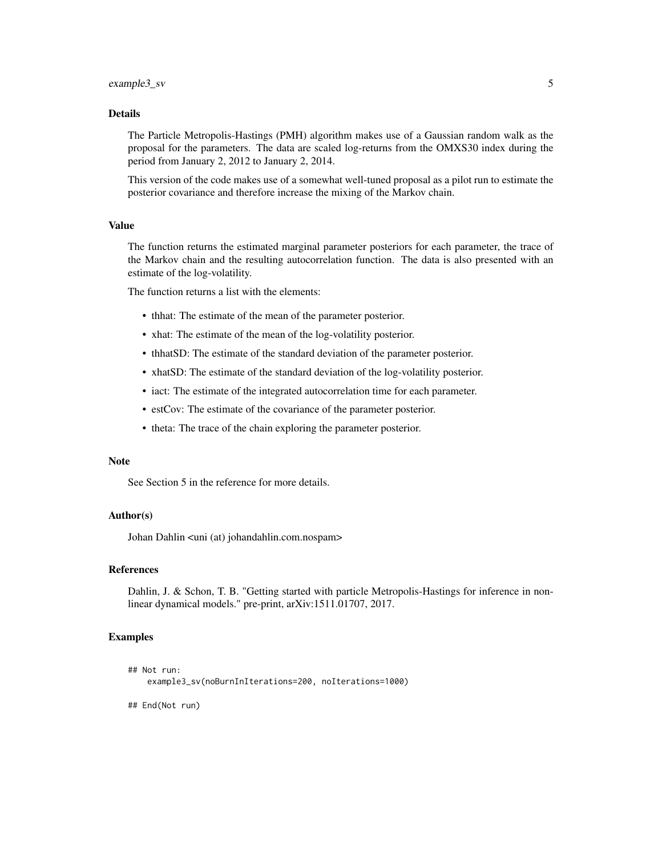# Details

The Particle Metropolis-Hastings (PMH) algorithm makes use of a Gaussian random walk as the proposal for the parameters. The data are scaled log-returns from the OMXS30 index during the period from January 2, 2012 to January 2, 2014.

This version of the code makes use of a somewhat well-tuned proposal as a pilot run to estimate the posterior covariance and therefore increase the mixing of the Markov chain.

#### Value

The function returns the estimated marginal parameter posteriors for each parameter, the trace of the Markov chain and the resulting autocorrelation function. The data is also presented with an estimate of the log-volatility.

The function returns a list with the elements:

- thhat: The estimate of the mean of the parameter posterior.
- xhat: The estimate of the mean of the log-volatility posterior.
- thhatSD: The estimate of the standard deviation of the parameter posterior.
- xhatSD: The estimate of the standard deviation of the log-volatility posterior.
- iact: The estimate of the integrated autocorrelation time for each parameter.
- estCov: The estimate of the covariance of the parameter posterior.
- theta: The trace of the chain exploring the parameter posterior.

#### **Note**

See Section 5 in the reference for more details.

# Author(s)

Johan Dahlin <uni (at) johandahlin.com.nospam>

# References

Dahlin, J. & Schon, T. B. "Getting started with particle Metropolis-Hastings for inference in nonlinear dynamical models." pre-print, arXiv:1511.01707, 2017.

# Examples

```
## Not run:
   example3_sv(noBurnInIterations=200, noIterations=1000)
```
## End(Not run)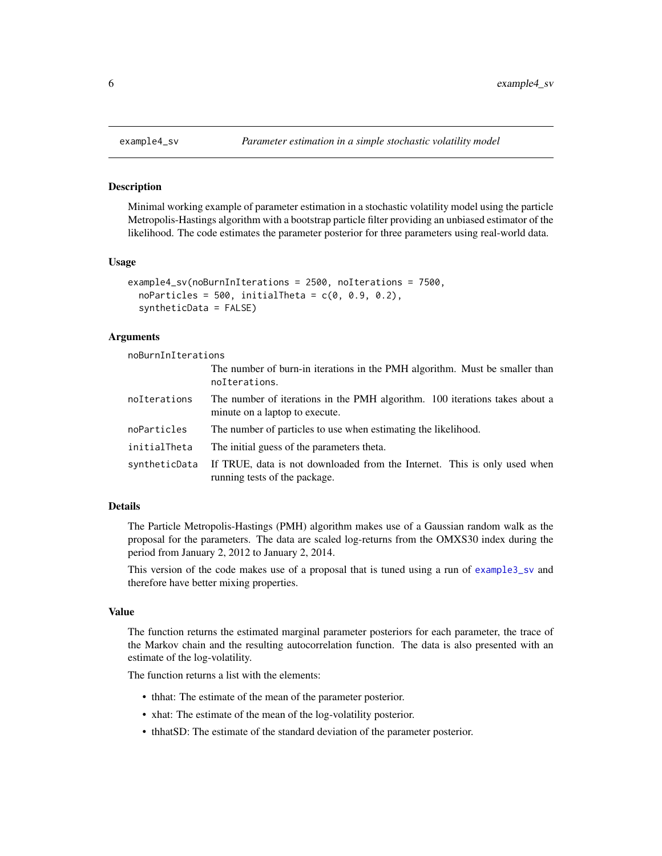<span id="page-5-0"></span>

Minimal working example of parameter estimation in a stochastic volatility model using the particle Metropolis-Hastings algorithm with a bootstrap particle filter providing an unbiased estimator of the likelihood. The code estimates the parameter posterior for three parameters using real-world data.

#### Usage

```
example4_sv(noBurnInIterations = 2500, noIterations = 7500,
  noParticles = 500, initialTheta = c(0, 0.9, 0.2),
  syntheticData = FALSE)
```
# Arguments

noBurnInIterations

|               | The number of burn-in iterations in the PMH algorithm. Must be smaller than<br>noIterations.                  |
|---------------|---------------------------------------------------------------------------------------------------------------|
| noIterations  | The number of iterations in the PMH algorithm. 100 iterations takes about a<br>minute on a laptop to execute. |
| noParticles   | The number of particles to use when estimating the likelihood.                                                |
| initialTheta  | The initial guess of the parameters theta.                                                                    |
| syntheticData | If TRUE, data is not downloaded from the Internet. This is only used when<br>running tests of the package.    |

# Details

The Particle Metropolis-Hastings (PMH) algorithm makes use of a Gaussian random walk as the proposal for the parameters. The data are scaled log-returns from the OMXS30 index during the period from January 2, 2012 to January 2, 2014.

This version of the code makes use of a proposal that is tuned using a run of [example3\\_sv](#page-3-1) and therefore have better mixing properties.

# Value

The function returns the estimated marginal parameter posteriors for each parameter, the trace of the Markov chain and the resulting autocorrelation function. The data is also presented with an estimate of the log-volatility.

The function returns a list with the elements:

- thhat: The estimate of the mean of the parameter posterior.
- xhat: The estimate of the mean of the log-volatility posterior.
- thhatSD: The estimate of the standard deviation of the parameter posterior.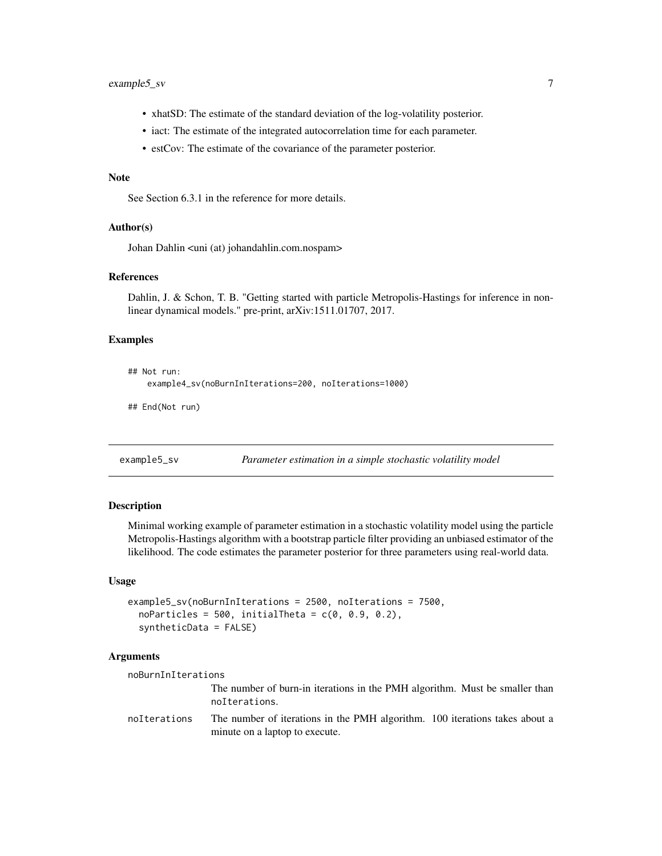# <span id="page-6-0"></span>example5\_sv 7

- xhatSD: The estimate of the standard deviation of the log-volatility posterior.
- iact: The estimate of the integrated autocorrelation time for each parameter.
- estCov: The estimate of the covariance of the parameter posterior.

# Note

See Section 6.3.1 in the reference for more details.

#### Author(s)

Johan Dahlin <uni (at) johandahlin.com.nospam>

#### References

Dahlin, J. & Schon, T. B. "Getting started with particle Metropolis-Hastings for inference in nonlinear dynamical models." pre-print, arXiv:1511.01707, 2017.

# Examples

```
## Not run:
   example4_sv(noBurnInIterations=200, noIterations=1000)
## End(Not run)
```
example5\_sv *Parameter estimation in a simple stochastic volatility model*

# Description

Minimal working example of parameter estimation in a stochastic volatility model using the particle Metropolis-Hastings algorithm with a bootstrap particle filter providing an unbiased estimator of the likelihood. The code estimates the parameter posterior for three parameters using real-world data.

#### Usage

```
example5_sv(noBurnInIterations = 2500, noIterations = 7500,
  noParticles = 500, initialTheta = c(0, 0.9, 0.2),
  syntheticData = FALSE)
```
#### Arguments

noBurnInIterations The number of burn-in iterations in the PMH algorithm. Must be smaller than noIterations. noIterations The number of iterations in the PMH algorithm. 100 iterations takes about a minute on a laptop to execute.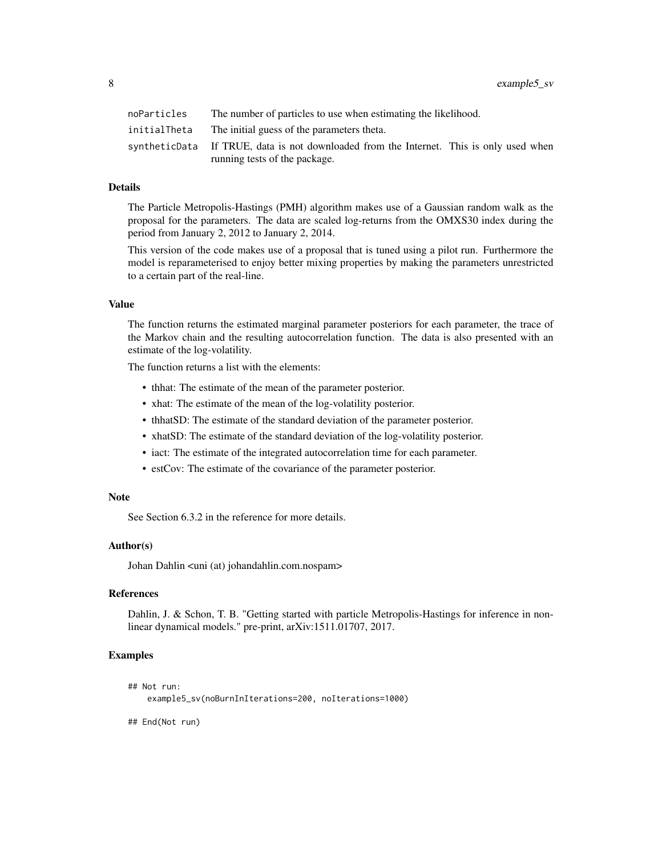8 example5\_sv

| noParticles  | The number of particles to use when estimating the likelihood.                          |
|--------------|-----------------------------------------------------------------------------------------|
| initialTheta | The initial guess of the parameters theta.                                              |
|              | syntheticData If TRUE, data is not downloaded from the Internet. This is only used when |
|              | running tests of the package.                                                           |

# **Details**

The Particle Metropolis-Hastings (PMH) algorithm makes use of a Gaussian random walk as the proposal for the parameters. The data are scaled log-returns from the OMXS30 index during the period from January 2, 2012 to January 2, 2014.

This version of the code makes use of a proposal that is tuned using a pilot run. Furthermore the model is reparameterised to enjoy better mixing properties by making the parameters unrestricted to a certain part of the real-line.

# Value

The function returns the estimated marginal parameter posteriors for each parameter, the trace of the Markov chain and the resulting autocorrelation function. The data is also presented with an estimate of the log-volatility.

The function returns a list with the elements:

- thhat: The estimate of the mean of the parameter posterior.
- xhat: The estimate of the mean of the log-volatility posterior.
- thhatSD: The estimate of the standard deviation of the parameter posterior.
- xhatSD: The estimate of the standard deviation of the log-volatility posterior.
- iact: The estimate of the integrated autocorrelation time for each parameter.
- estCov: The estimate of the covariance of the parameter posterior.

# Note

See Section 6.3.2 in the reference for more details.

# Author(s)

Johan Dahlin <uni (at) johandahlin.com.nospam>

# References

Dahlin, J. & Schon, T. B. "Getting started with particle Metropolis-Hastings for inference in nonlinear dynamical models." pre-print, arXiv:1511.01707, 2017.

# Examples

```
## Not run:
    example5_sv(noBurnInIterations=200, noIterations=1000)
```
## End(Not run)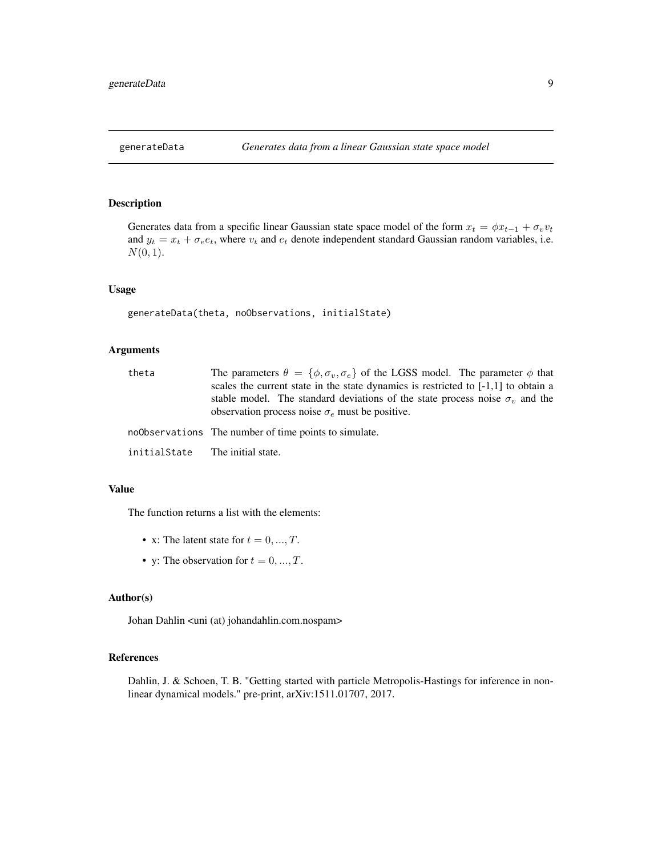<span id="page-8-0"></span>Generates data from a specific linear Gaussian state space model of the form  $x_t = \phi x_{t-1} + \sigma_v v_t$ and  $y_t = x_t + \sigma_e e_t$ , where  $v_t$  and  $e_t$  denote independent standard Gaussian random variables, i.e.  $N(0, 1)$ .

# Usage

```
generateData(theta, noObservations, initialState)
```
# Arguments

| theta        | The parameters $\theta = {\phi, \sigma_v, \sigma_e}$ of the LGSS model. The parameter $\phi$ that<br>scales the current state in the state dynamics is restricted to $[-1,1]$ to obtain a<br>stable model. The standard deviations of the state process noise $\sigma_v$ and the<br>observation process noise $\sigma_e$ must be positive. |
|--------------|--------------------------------------------------------------------------------------------------------------------------------------------------------------------------------------------------------------------------------------------------------------------------------------------------------------------------------------------|
|              | noObservations The number of time points to simulate.                                                                                                                                                                                                                                                                                      |
| initialState | The initial state.                                                                                                                                                                                                                                                                                                                         |

# Value

The function returns a list with the elements:

- x: The latent state for  $t = 0, ..., T$ .
- y: The observation for  $t = 0, ..., T$ .

# Author(s)

Johan Dahlin <uni (at) johandahlin.com.nospam>

# References

Dahlin, J. & Schoen, T. B. "Getting started with particle Metropolis-Hastings for inference in nonlinear dynamical models." pre-print, arXiv:1511.01707, 2017.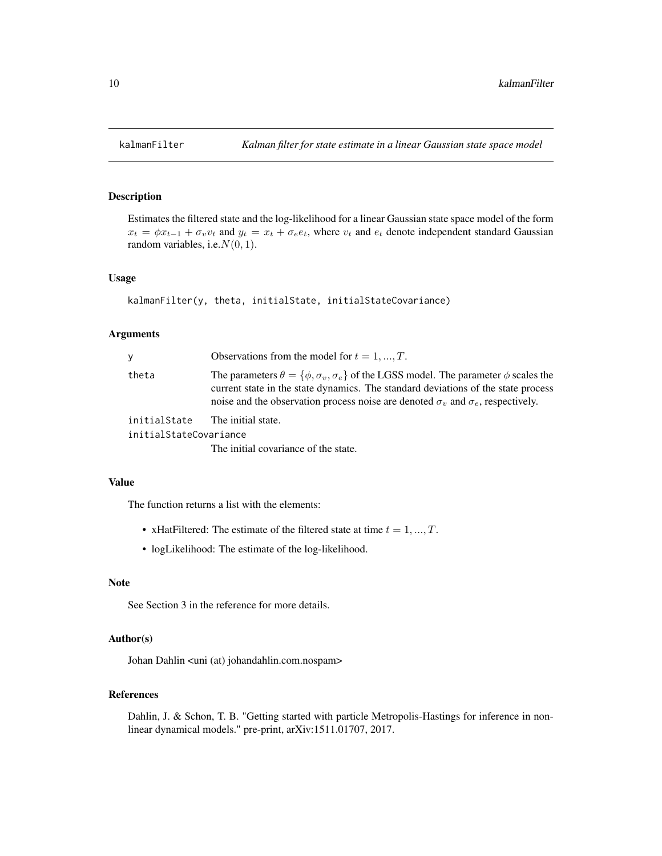Estimates the filtered state and the log-likelihood for a linear Gaussian state space model of the form  $x_t = \phi x_{t-1} + \sigma_v v_t$  and  $y_t = x_t + \sigma_e e_t$ , where  $v_t$  and  $e_t$  denote independent standard Gaussian random variables, i.e.  $N(0, 1)$ .

# Usage

```
kalmanFilter(y, theta, initialState, initialStateCovariance)
```
# Arguments

| ٧                      | Observations from the model for $t = 1, , T$ .                                                                                                                                                                                                                                                |
|------------------------|-----------------------------------------------------------------------------------------------------------------------------------------------------------------------------------------------------------------------------------------------------------------------------------------------|
| theta                  | The parameters $\theta = {\phi, \sigma_v, \sigma_e}$ of the LGSS model. The parameter $\phi$ scales the<br>current state in the state dynamics. The standard deviations of the state process<br>noise and the observation process noise are denoted $\sigma_v$ and $\sigma_e$ , respectively. |
| initialState           | The initial state.                                                                                                                                                                                                                                                                            |
| initialStateCovariance |                                                                                                                                                                                                                                                                                               |
|                        | The initial covariance of the state.                                                                                                                                                                                                                                                          |

# Value

The function returns a list with the elements:

- xHatFiltered: The estimate of the filtered state at time  $t = 1, ..., T$ .
- logLikelihood: The estimate of the log-likelihood.

# Note

See Section 3 in the reference for more details.

# Author(s)

Johan Dahlin <uni (at) johandahlin.com.nospam>

# References

Dahlin, J. & Schon, T. B. "Getting started with particle Metropolis-Hastings for inference in nonlinear dynamical models." pre-print, arXiv:1511.01707, 2017.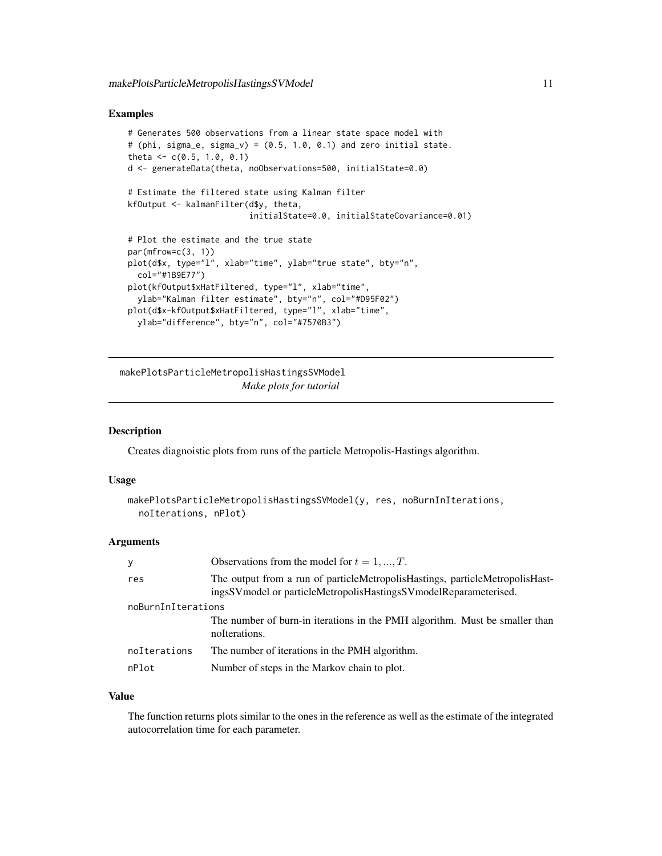# <span id="page-10-0"></span>Examples

```
# Generates 500 observations from a linear state space model with
# (phi, sigma_e, sigma_v) = (0.5, 1.0, 0.1) and zero initial state.
theta \leq -c(0.5, 1.0, 0.1)d <- generateData(theta, noObservations=500, initialState=0.0)
# Estimate the filtered state using Kalman filter
kfOutput <- kalmanFilter(d$y, theta,
                         initialState=0.0, initialStateCovariance=0.01)
# Plot the estimate and the true state
par(mfrow=c(3, 1))
plot(d$x, type="l", xlab="time", ylab="true state", bty="n",
  col="#1B9E77")
plot(kfOutput$xHatFiltered, type="l", xlab="time",
  ylab="Kalman filter estimate", bty="n", col="#D95F02")
plot(d$x-kfOutput$xHatFiltered, type="l", xlab="time",
  ylab="difference", bty="n", col="#7570B3")
```
makePlotsParticleMetropolisHastingsSVModel *Make plots for tutorial*

# Description

Creates diagnoistic plots from runs of the particle Metropolis-Hastings algorithm.

# Usage

```
makePlotsParticleMetropolisHastingsSVModel(y, res, noBurnInIterations,
 noIterations, nPlot)
```
# Arguments

| y                  | Observations from the model for $t = 1, , T$ .                                                                                                   |  |
|--------------------|--------------------------------------------------------------------------------------------------------------------------------------------------|--|
| res                | The output from a run of particleMetropolisHastings, particleMetropolisHast-<br>ingsSVmodel or particleMetropolisHastingsSVmodelReparameterised. |  |
| noBurnInIterations |                                                                                                                                                  |  |
|                    | The number of burn-in iterations in the PMH algorithm. Must be smaller than<br>noIterations.                                                     |  |
| noIterations       | The number of iterations in the PMH algorithm.                                                                                                   |  |
| nPlot              | Number of steps in the Markov chain to plot.                                                                                                     |  |

# Value

The function returns plots similar to the ones in the reference as well as the estimate of the integrated autocorrelation time for each parameter.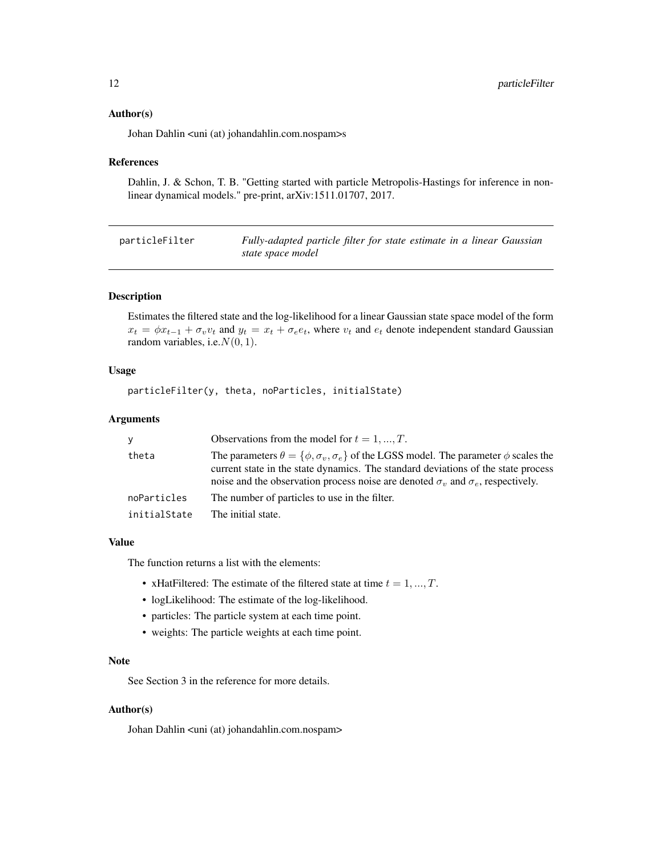# <span id="page-11-0"></span>Author(s)

Johan Dahlin <uni (at) johandahlin.com.nospam>s

#### References

Dahlin, J. & Schon, T. B. "Getting started with particle Metropolis-Hastings for inference in nonlinear dynamical models." pre-print, arXiv:1511.01707, 2017.

| particleFilter | Fully-adapted particle filter for state estimate in a linear Gaussian |
|----------------|-----------------------------------------------------------------------|
|                | state space model                                                     |

# Description

Estimates the filtered state and the log-likelihood for a linear Gaussian state space model of the form  $x_t = \phi x_{t-1} + \sigma_v v_t$  and  $y_t = x_t + \sigma_e e_t$ , where  $v_t$  and  $e_t$  denote independent standard Gaussian random variables, i.e.  $N(0, 1)$ .

# Usage

particleFilter(y, theta, noParticles, initialState)

#### Arguments

| V            | Observations from the model for $t = 1, , T$ .                                                                                                                                                                                                                                                |
|--------------|-----------------------------------------------------------------------------------------------------------------------------------------------------------------------------------------------------------------------------------------------------------------------------------------------|
| theta        | The parameters $\theta = {\phi, \sigma_v, \sigma_e}$ of the LGSS model. The parameter $\phi$ scales the<br>current state in the state dynamics. The standard deviations of the state process<br>noise and the observation process noise are denoted $\sigma_v$ and $\sigma_e$ , respectively. |
| noParticles  | The number of particles to use in the filter.                                                                                                                                                                                                                                                 |
| initialState | The initial state.                                                                                                                                                                                                                                                                            |

# Value

The function returns a list with the elements:

- xHatFiltered: The estimate of the filtered state at time  $t = 1, ..., T$ .
- logLikelihood: The estimate of the log-likelihood.
- particles: The particle system at each time point.
- weights: The particle weights at each time point.

# Note

See Section 3 in the reference for more details.

# Author(s)

Johan Dahlin <uni (at) johandahlin.com.nospam>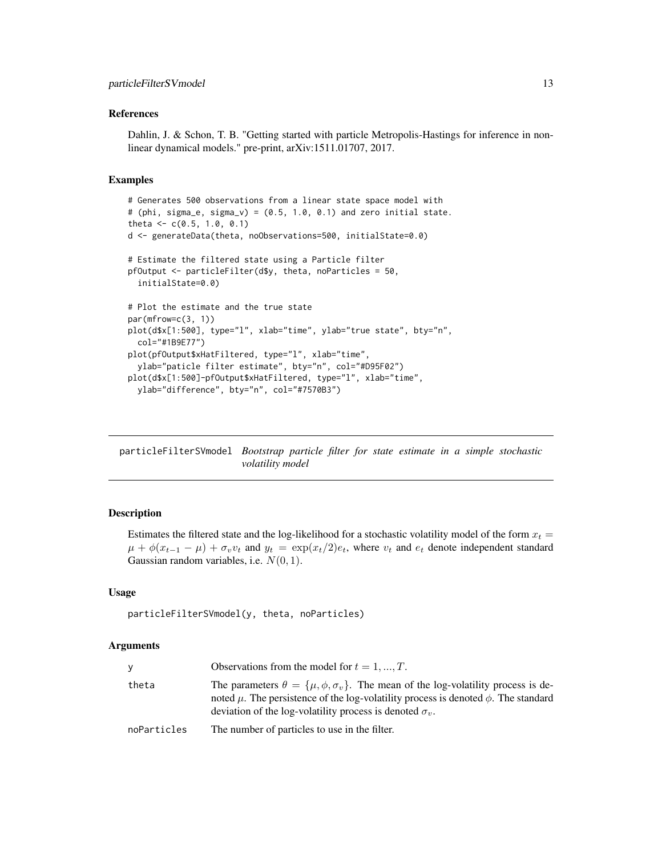#### <span id="page-12-0"></span>References

Dahlin, J. & Schon, T. B. "Getting started with particle Metropolis-Hastings for inference in nonlinear dynamical models." pre-print, arXiv:1511.01707, 2017.

#### Examples

```
# Generates 500 observations from a linear state space model with
# (phi, sigma_e, sigma_v) = (0.5, 1.0, 0.1) and zero initial state.
theta <- c(0.5, 1.0, 0.1)
d <- generateData(theta, noObservations=500, initialState=0.0)
# Estimate the filtered state using a Particle filter
pfOutput <- particleFilter(d$y, theta, noParticles = 50,
 initialState=0.0)
# Plot the estimate and the true state
par(mfrow=c(3, 1))
plot(d$x[1:500], type="l", xlab="time", ylab="true state", bty="n",
 col="#1B9E77")
plot(pfOutput$xHatFiltered, type="l", xlab="time",
 ylab="paticle filter estimate", bty="n", col="#D95F02")
plot(d$x[1:500]-pfOutput$xHatFiltered, type="l", xlab="time",
 ylab="difference", bty="n", col="#7570B3")
```
particleFilterSVmodel *Bootstrap particle filter for state estimate in a simple stochastic volatility model*

# Description

Estimates the filtered state and the log-likelihood for a stochastic volatility model of the form  $x_t$  =  $\mu + \phi(x_{t-1} - \mu) + \sigma_v v_t$  and  $y_t = \exp(x_t/2)e_t$ , where  $v_t$  and  $e_t$  denote independent standard Gaussian random variables, i.e.  $N(0, 1)$ .

#### Usage

```
particleFilterSVmodel(y, theta, noParticles)
```
#### Arguments

| y           | Observations from the model for $t = 1, , T$ .                                                                                                                                                                                                                     |
|-------------|--------------------------------------------------------------------------------------------------------------------------------------------------------------------------------------------------------------------------------------------------------------------|
| theta       | The parameters $\theta = {\mu, \phi, \sigma_v}$ . The mean of the log-volatility process is de-<br>noted $\mu$ . The persistence of the log-volatility process is denoted $\phi$ . The standard<br>deviation of the log-volatility process is denoted $\sigma_v$ . |
| noParticles | The number of particles to use in the filter.                                                                                                                                                                                                                      |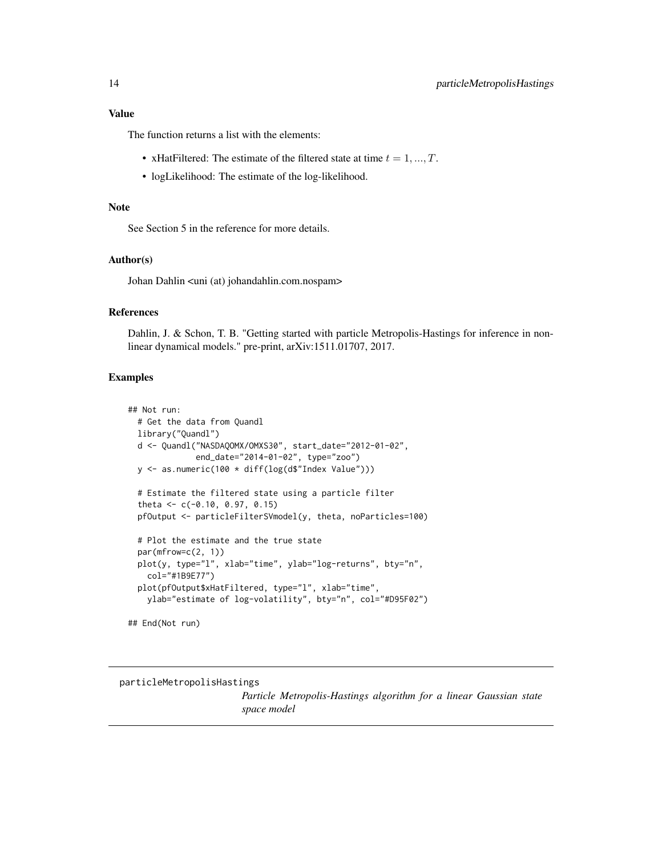# <span id="page-13-0"></span>Value

The function returns a list with the elements:

- xHatFiltered: The estimate of the filtered state at time  $t = 1, ..., T$ .
- logLikelihood: The estimate of the log-likelihood.

# Note

See Section 5 in the reference for more details.

# Author(s)

Johan Dahlin <uni (at) johandahlin.com.nospam>

# References

Dahlin, J. & Schon, T. B. "Getting started with particle Metropolis-Hastings for inference in nonlinear dynamical models." pre-print, arXiv:1511.01707, 2017.

# Examples

```
## Not run:
 # Get the data from Quandl
 library("Quandl")
 d <- Quandl("NASDAQOMX/OMXS30", start_date="2012-01-02",
              end_date="2014-01-02", type="zoo")
 y <- as.numeric(100 * diff(log(d$"Index Value")))
 # Estimate the filtered state using a particle filter
 theta <- c(-0.10, 0.97, 0.15)
 pfOutput <- particleFilterSVmodel(y, theta, noParticles=100)
 # Plot the estimate and the true state
 par(mfrow=c(2, 1))
 plot(y, type="l", xlab="time", ylab="log-returns", bty="n",
    col="#1B9E77")
 plot(pfOutput$xHatFiltered, type="l", xlab="time",
   ylab="estimate of log-volatility", bty="n", col="#D95F02")
```
## End(Not run)

particleMetropolisHastings

*Particle Metropolis-Hastings algorithm for a linear Gaussian state space model*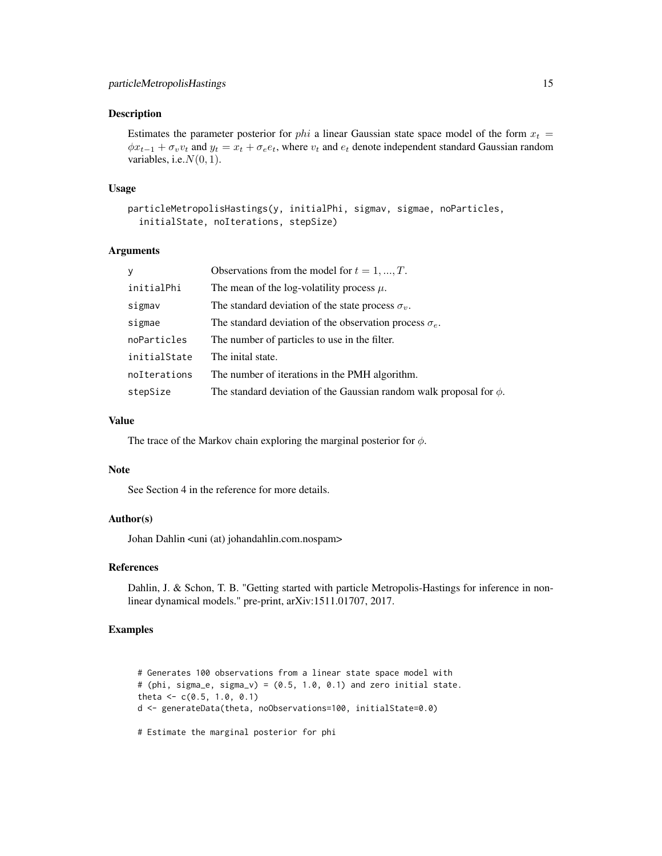Estimates the parameter posterior for *phi* a linear Gaussian state space model of the form  $x_t =$  $\phi x_{t-1} + \sigma_v v_t$  and  $y_t = x_t + \sigma_e e_t$ , where  $v_t$  and  $e_t$  denote independent standard Gaussian random variables, i.e.  $N(0, 1)$ .

#### Usage

```
particleMetropolisHastings(y, initialPhi, sigmav, sigmae, noParticles,
  initialState, noIterations, stepSize)
```
# Arguments

| y            | Observations from the model for $t = 1, , T$ .                           |
|--------------|--------------------------------------------------------------------------|
| initialPhi   | The mean of the log-volatility process $\mu$ .                           |
| sigmav       | The standard deviation of the state process $\sigma_v$ .                 |
| sigmae       | The standard deviation of the observation process $\sigma_e$ .           |
| noParticles  | The number of particles to use in the filter.                            |
| initialState | The inital state.                                                        |
| noIterations | The number of iterations in the PMH algorithm.                           |
| stepSize     | The standard deviation of the Gaussian random walk proposal for $\phi$ . |

# Value

The trace of the Markov chain exploring the marginal posterior for  $\phi$ .

#### Note

See Section 4 in the reference for more details.

# Author(s)

Johan Dahlin <uni (at) johandahlin.com.nospam>

# References

Dahlin, J. & Schon, T. B. "Getting started with particle Metropolis-Hastings for inference in nonlinear dynamical models." pre-print, arXiv:1511.01707, 2017.

# Examples

```
# Generates 100 observations from a linear state space model with
# (phi, sigma_e, sigma_v) = (0.5, 1.0, 0.1) and zero initial state.
theta \leq -c(0.5, 1.0, 0.1)d <- generateData(theta, noObservations=100, initialState=0.0)
# Estimate the marginal posterior for phi
```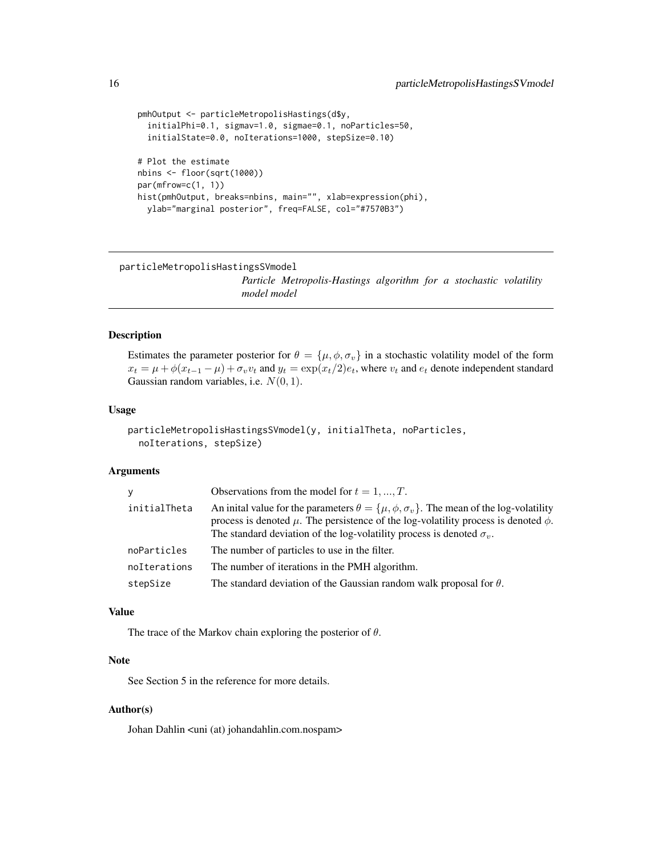```
pmhOutput <- particleMetropolisHastings(d$y,
  initialPhi=0.1, sigmav=1.0, sigmae=0.1, noParticles=50,
  initialState=0.0, noIterations=1000, stepSize=0.10)
# Plot the estimate
nbins <- floor(sqrt(1000))
par(mfrow=c(1, 1))
hist(pmhOutput, breaks=nbins, main="", xlab=expression(phi),
 ylab="marginal posterior", freq=FALSE, col="#7570B3")
```
particleMetropolisHastingsSVmodel

*Particle Metropolis-Hastings algorithm for a stochastic volatility model model*

# Description

Estimates the parameter posterior for  $\theta = {\mu, \phi, \sigma_v}$  in a stochastic volatility model of the form  $x_t = \mu + \phi(x_{t-1} - \mu) + \sigma_v v_t$  and  $y_t = \exp(x_t/2)e_t$ , where  $v_t$  and  $e_t$  denote independent standard Gaussian random variables, i.e.  $N(0, 1)$ .

# Usage

```
particleMetropolisHastingsSVmodel(y, initialTheta, noParticles,
  noIterations, stepSize)
```
#### Arguments

| v            | Observations from the model for $t = 1, , T$ .                                                                                                                                                                                                                                        |
|--------------|---------------------------------------------------------------------------------------------------------------------------------------------------------------------------------------------------------------------------------------------------------------------------------------|
| initialTheta | An initial value for the parameters $\theta = {\mu, \phi, \sigma_v}$ . The mean of the log-volatility<br>process is denoted $\mu$ . The persistence of the log-volatility process is denoted $\phi$ .<br>The standard deviation of the log-volatility process is denoted $\sigma_v$ . |
| noParticles  | The number of particles to use in the filter.                                                                                                                                                                                                                                         |
| noIterations | The number of iterations in the PMH algorithm.                                                                                                                                                                                                                                        |
| stepSize     | The standard deviation of the Gaussian random walk proposal for $\theta$ .                                                                                                                                                                                                            |

# Value

The trace of the Markov chain exploring the posterior of  $\theta$ .

# Note

See Section 5 in the reference for more details.

# Author(s)

Johan Dahlin <uni (at) johandahlin.com.nospam>

<span id="page-15-0"></span>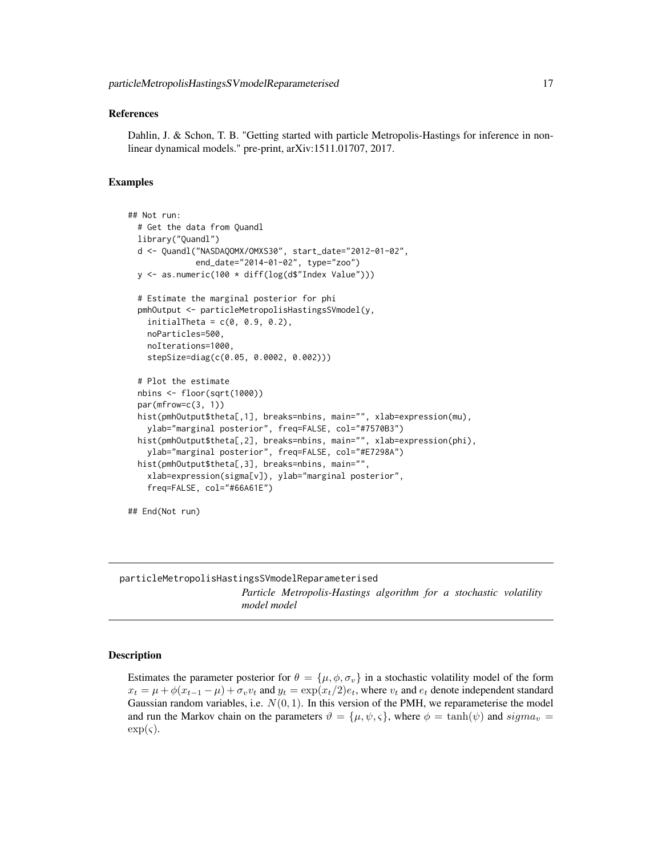#### <span id="page-16-0"></span>References

Dahlin, J. & Schon, T. B. "Getting started with particle Metropolis-Hastings for inference in nonlinear dynamical models." pre-print, arXiv:1511.01707, 2017.

#### Examples

```
## Not run:
 # Get the data from Quandl
 library("Quandl")
 d <- Quandl("NASDAQOMX/OMXS30", start_date="2012-01-02",
             end_date="2014-01-02", type="zoo")
 y <- as.numeric(100 * diff(log(d$"Index Value")))
 # Estimate the marginal posterior for phi
 pmhOutput <- particleMetropolisHastingsSVmodel(y,
   initialTheta = c(0, 0.9, 0.2),
   noParticles=500,
   noIterations=1000,
   stepSize=diag(c(0.05, 0.0002, 0.002)))
 # Plot the estimate
 nbins <- floor(sqrt(1000))
 par(mfrow=c(3, 1))
 hist(pmhOutput$theta[,1], breaks=nbins, main="", xlab=expression(mu),
   ylab="marginal posterior", freq=FALSE, col="#7570B3")
 hist(pmhOutput$theta[,2], breaks=nbins, main="", xlab=expression(phi),
   ylab="marginal posterior", freq=FALSE, col="#E7298A")
 hist(pmhOutput$theta[,3], breaks=nbins, main="",
   xlab=expression(sigma[v]), ylab="marginal posterior",
   freq=FALSE, col="#66A61E")
## End(Not run)
```
particleMetropolisHastingsSVmodelReparameterised *Particle Metropolis-Hastings algorithm for a stochastic volatility model model*

#### **Description**

Estimates the parameter posterior for  $\theta = {\mu, \phi, \sigma_v}$  in a stochastic volatility model of the form  $x_t = \mu + \phi(x_{t-1} - \mu) + \sigma_v v_t$  and  $y_t = \exp(x_t/2)e_t$ , where  $v_t$  and  $e_t$  denote independent standard Gaussian random variables, i.e.  $N(0, 1)$ . In this version of the PMH, we reparameterise the model and run the Markov chain on the parameters  $\vartheta = {\mu, \psi, \varsigma}$ , where  $\phi = \tanh(\psi)$  and  $sigma_v =$  $\exp(\varsigma)$ .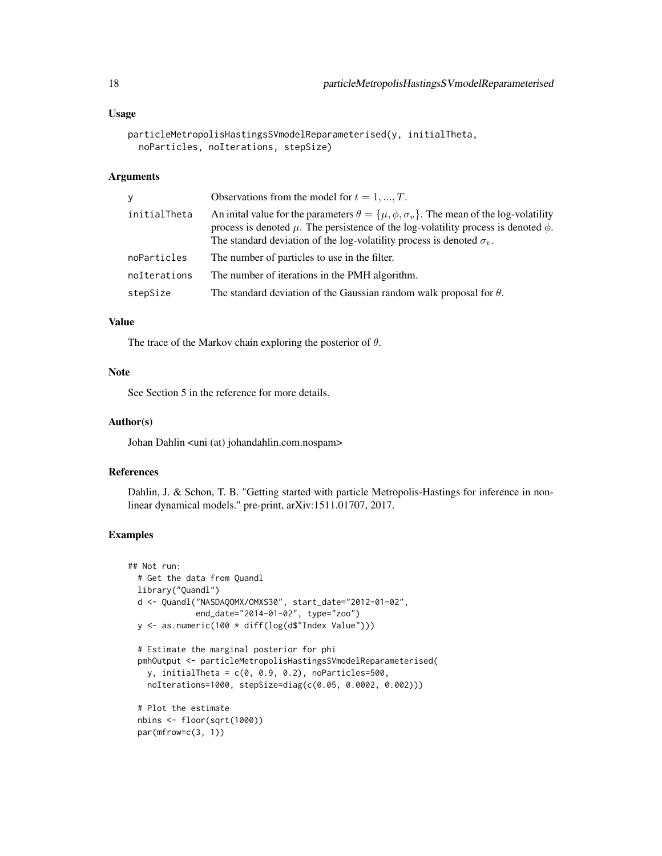# Usage

```
particleMetropolisHastingsSVmodelReparameterised(y, initialTheta,
  noParticles, noIterations, stepSize)
```
# Arguments

| v            | Observations from the model for $t = 1, , T$ .                                                                                                                                                                                                                                        |
|--------------|---------------------------------------------------------------------------------------------------------------------------------------------------------------------------------------------------------------------------------------------------------------------------------------|
| initialTheta | An initial value for the parameters $\theta = {\mu, \phi, \sigma_v}$ . The mean of the log-volatility<br>process is denoted $\mu$ . The persistence of the log-volatility process is denoted $\phi$ .<br>The standard deviation of the log-volatility process is denoted $\sigma_v$ . |
| noParticles  | The number of particles to use in the filter.                                                                                                                                                                                                                                         |
| noIterations | The number of iterations in the PMH algorithm.                                                                                                                                                                                                                                        |
| stepSize     | The standard deviation of the Gaussian random walk proposal for $\theta$ .                                                                                                                                                                                                            |

#### Value

The trace of the Markov chain exploring the posterior of  $\theta$ .

# Note

See Section 5 in the reference for more details.

#### Author(s)

Johan Dahlin <uni (at) johandahlin.com.nospam>

# References

Dahlin, J. & Schon, T. B. "Getting started with particle Metropolis-Hastings for inference in nonlinear dynamical models." pre-print, arXiv:1511.01707, 2017.

# Examples

```
## Not run:
 # Get the data from Quandl
 library("Quandl")
 d <- Quandl("NASDAQOMX/OMXS30", start_date="2012-01-02",
             end_date="2014-01-02", type="zoo")
 y <- as.numeric(100 * diff(log(d$"Index Value")))
 # Estimate the marginal posterior for phi
 pmhOutput <- particleMetropolisHastingsSVmodelReparameterised(
   y, initialTheta = c(0, 0.9, 0.2), noParticles=500,
   noIterations=1000, stepSize=diag(c(0.05, 0.0002, 0.002)))
 # Plot the estimate
 nbins <- floor(sqrt(1000))
 par(mfrow=c(3, 1))
```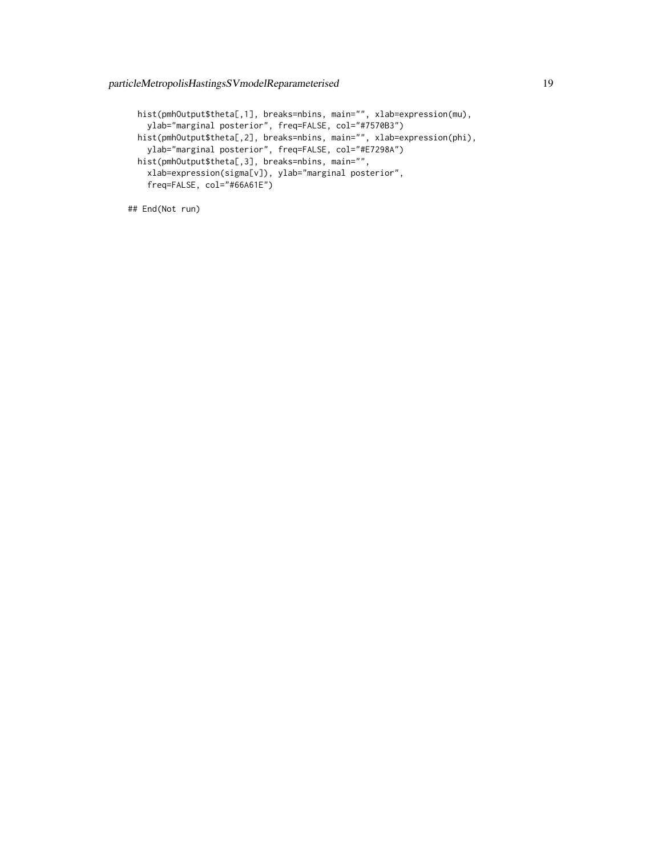```
hist(pmhOutput$theta[,1], breaks=nbins, main="", xlab=expression(mu),
 ylab="marginal posterior", freq=FALSE, col="#7570B3")
hist(pmhOutput$theta[,2], breaks=nbins, main="", xlab=expression(phi),
 ylab="marginal posterior", freq=FALSE, col="#E7298A")
hist(pmhOutput$theta[,3], breaks=nbins, main="",
 xlab=expression(sigma[v]), ylab="marginal posterior",
 freq=FALSE, col="#66A61E")
```

```
## End(Not run)
```